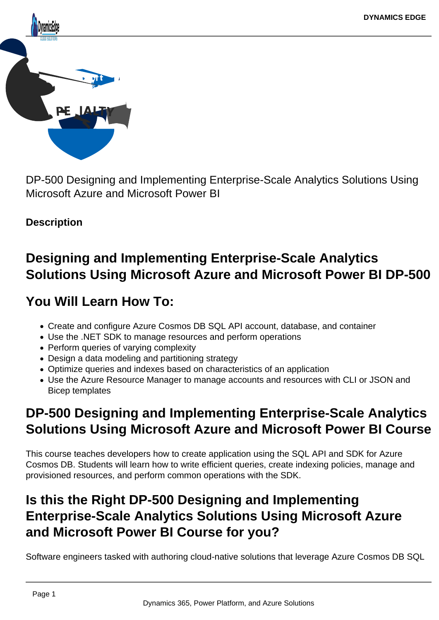

DP-500 Designing and Implementing Enterprise-Scale Analytics Solutions Using Microsoft Azure and Microsoft Power BI

# **Description**

# **Designing and Implementing Enterprise-Scale Analytics Solutions Using Microsoft Azure and Microsoft Power BI DP-500**

# **You Will Learn How To:**

- Create and configure Azure Cosmos DB SQL API account, database, and container
- Use the .NET SDK to manage resources and perform operations
- Perform queries of varying complexity
- Design a data modeling and partitioning strategy
- Optimize queries and indexes based on characteristics of an application
- Use the Azure Resource Manager to manage accounts and resources with CLI or JSON and Bicep templates

# **DP-500 Designing and Implementing Enterprise-Scale Analytics Solutions Using Microsoft Azure and Microsoft Power BI Course**

This course teaches developers how to create application using the SQL API and SDK for Azure Cosmos DB. Students will learn how to write efficient queries, create indexing policies, manage and provisioned resources, and perform common operations with the SDK.

# **Is this the Right DP-500 Designing and Implementing Enterprise-Scale Analytics Solutions Using Microsoft Azure and Microsoft Power BI Course for you?**

Software engineers tasked with authoring cloud-native solutions that leverage Azure Cosmos DB SQL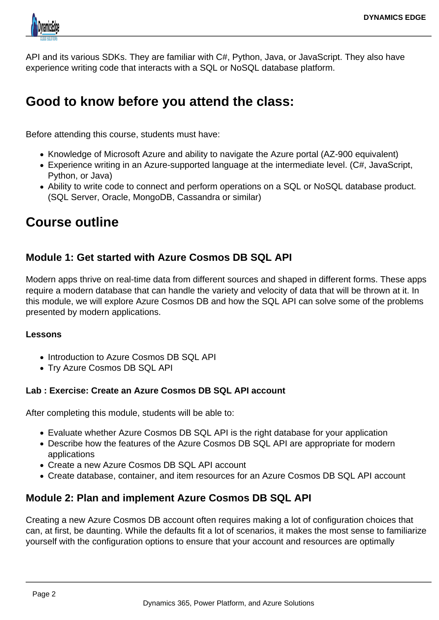

API and its various SDKs. They are familiar with C#, Python, Java, or JavaScript. They also have experience writing code that interacts with a SQL or NoSQL database platform.

# **Good to know before you attend the class:**

Before attending this course, students must have:

- Knowledge of Microsoft Azure and ability to navigate the Azure portal (AZ-900 equivalent)
- Experience writing in an Azure-supported language at the intermediate level. (C#, JavaScript, Python, or Java)
- Ability to write code to connect and perform operations on a SQL or NoSQL database product. (SQL Server, Oracle, MongoDB, Cassandra or similar)

# **Course outline**

# **Module 1: Get started with Azure Cosmos DB SQL API**

Modern apps thrive on real-time data from different sources and shaped in different forms. These apps require a modern database that can handle the variety and velocity of data that will be thrown at it. In this module, we will explore Azure Cosmos DB and how the SQL API can solve some of the problems presented by modern applications.

#### **Lessons**

- Introduction to Azure Cosmos DB SQL API
- Try Azure Cosmos DB SQL API

#### **Lab : Exercise: Create an Azure Cosmos DB SQL API account**

After completing this module, students will be able to:

- Evaluate whether Azure Cosmos DB SQL API is the right database for your application
- Describe how the features of the Azure Cosmos DB SQL API are appropriate for modern applications
- Create a new Azure Cosmos DB SQL API account
- Create database, container, and item resources for an Azure Cosmos DB SQL API account

# **Module 2: Plan and implement Azure Cosmos DB SQL API**

Creating a new Azure Cosmos DB account often requires making a lot of configuration choices that can, at first, be daunting. While the defaults fit a lot of scenarios, it makes the most sense to familiarize yourself with the configuration options to ensure that your account and resources are optimally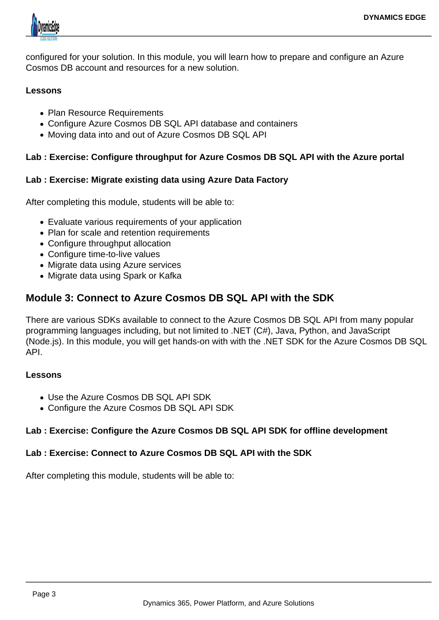

configured for your solution. In this module, you will learn how to prepare and configure an Azure Cosmos DB account and resources for a new solution.

#### **Lessons**

- Plan Resource Requirements
- Configure Azure Cosmos DB SQL API database and containers
- Moving data into and out of Azure Cosmos DB SQL API

### **Lab : Exercise: Configure throughput for Azure Cosmos DB SQL API with the Azure portal**

#### **Lab : Exercise: Migrate existing data using Azure Data Factory**

After completing this module, students will be able to:

- Evaluate various requirements of your application
- Plan for scale and retention requirements
- Configure throughput allocation
- Configure time-to-live values
- Migrate data using Azure services
- Migrate data using Spark or Kafka

# **Module 3: Connect to Azure Cosmos DB SQL API with the SDK**

There are various SDKs available to connect to the Azure Cosmos DB SQL API from many popular programming languages including, but not limited to .NET (C#), Java, Python, and JavaScript (Node.js). In this module, you will get hands-on with with the .NET SDK for the Azure Cosmos DB SQL API.

#### **Lessons**

- Use the Azure Cosmos DB SQL API SDK
- Configure the Azure Cosmos DB SQL API SDK

### **Lab : Exercise: Configure the Azure Cosmos DB SQL API SDK for offline development**

#### **Lab : Exercise: Connect to Azure Cosmos DB SQL API with the SDK**

After completing this module, students will be able to: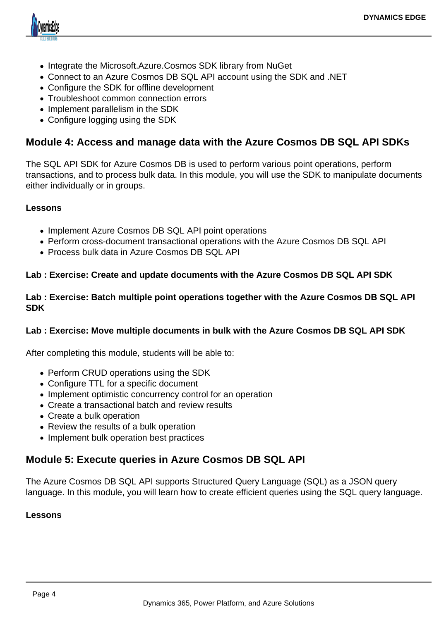

- Integrate the Microsoft.Azure.Cosmos SDK library from NuGet
- Connect to an Azure Cosmos DB SQL API account using the SDK and .NET
- Configure the SDK for offline development
- Troubleshoot common connection errors
- Implement parallelism in the SDK
- Configure logging using the SDK

### **Module 4: Access and manage data with the Azure Cosmos DB SQL API SDKs**

The SQL API SDK for Azure Cosmos DB is used to perform various point operations, perform transactions, and to process bulk data. In this module, you will use the SDK to manipulate documents either individually or in groups.

#### **Lessons**

- Implement Azure Cosmos DB SQL API point operations
- Perform cross-document transactional operations with the Azure Cosmos DB SQL API
- Process bulk data in Azure Cosmos DB SQL API

#### **Lab : Exercise: Create and update documents with the Azure Cosmos DB SQL API SDK**

#### **Lab : Exercise: Batch multiple point operations together with the Azure Cosmos DB SQL API SDK**

#### **Lab : Exercise: Move multiple documents in bulk with the Azure Cosmos DB SQL API SDK**

After completing this module, students will be able to:

- Perform CRUD operations using the SDK
- Configure TTL for a specific document
- Implement optimistic concurrency control for an operation
- Create a transactional batch and review results
- Create a bulk operation
- Review the results of a bulk operation
- Implement bulk operation best practices

# **Module 5: Execute queries in Azure Cosmos DB SQL API**

The Azure Cosmos DB SQL API supports Structured Query Language (SQL) as a JSON query language. In this module, you will learn how to create efficient queries using the SQL query language.

#### **Lessons**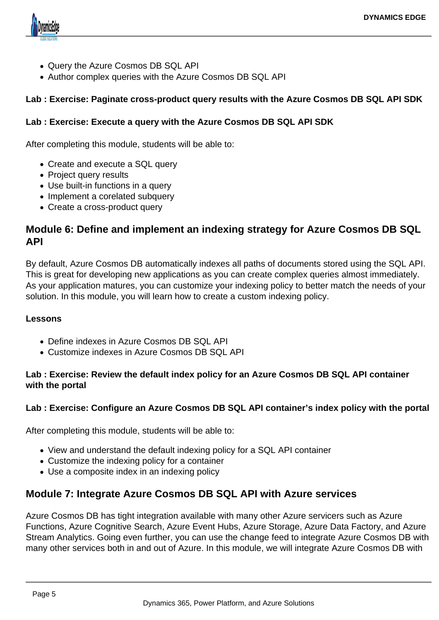

- Query the Azure Cosmos DB SQL API
- Author complex queries with the Azure Cosmos DB SQL API

#### **Lab : Exercise: Paginate cross-product query results with the Azure Cosmos DB SQL API SDK**

#### **Lab : Exercise: Execute a query with the Azure Cosmos DB SQL API SDK**

After completing this module, students will be able to:

- Create and execute a SQL query
- Project query results
- Use built-in functions in a query
- Implement a corelated subquery
- Create a cross-product query

## **Module 6: Define and implement an indexing strategy for Azure Cosmos DB SQL API**

By default, Azure Cosmos DB automatically indexes all paths of documents stored using the SQL API. This is great for developing new applications as you can create complex queries almost immediately. As your application matures, you can customize your indexing policy to better match the needs of your solution. In this module, you will learn how to create a custom indexing policy.

#### **Lessons**

- Define indexes in Azure Cosmos DB SQL API
- Customize indexes in Azure Cosmos DB SQL API

#### **Lab : Exercise: Review the default index policy for an Azure Cosmos DB SQL API container with the portal**

#### **Lab : Exercise: Configure an Azure Cosmos DB SQL API container's index policy with the portal**

After completing this module, students will be able to:

- View and understand the default indexing policy for a SQL API container
- Customize the indexing policy for a container
- Use a composite index in an indexing policy

### **Module 7: Integrate Azure Cosmos DB SQL API with Azure services**

Azure Cosmos DB has tight integration available with many other Azure servicers such as Azure Functions, Azure Cognitive Search, Azure Event Hubs, Azure Storage, Azure Data Factory, and Azure Stream Analytics. Going even further, you can use the change feed to integrate Azure Cosmos DB with many other services both in and out of Azure. In this module, we will integrate Azure Cosmos DB with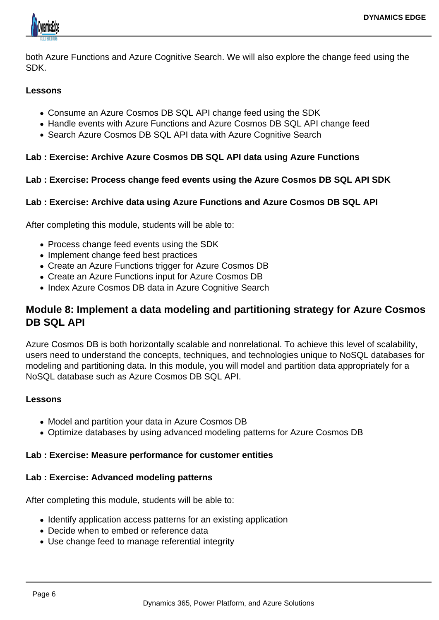

both Azure Functions and Azure Cognitive Search. We will also explore the change feed using the SDK.

#### **Lessons**

- Consume an Azure Cosmos DB SQL API change feed using the SDK
- Handle events with Azure Functions and Azure Cosmos DB SQL API change feed
- Search Azure Cosmos DB SQL API data with Azure Cognitive Search

#### **Lab : Exercise: Archive Azure Cosmos DB SQL API data using Azure Functions**

#### **Lab : Exercise: Process change feed events using the Azure Cosmos DB SQL API SDK**

#### **Lab : Exercise: Archive data using Azure Functions and Azure Cosmos DB SQL API**

After completing this module, students will be able to:

- Process change feed events using the SDK
- Implement change feed best practices
- Create an Azure Functions trigger for Azure Cosmos DB
- Create an Azure Functions input for Azure Cosmos DB
- Index Azure Cosmos DB data in Azure Cognitive Search

## **Module 8: Implement a data modeling and partitioning strategy for Azure Cosmos DB SQL API**

Azure Cosmos DB is both horizontally scalable and nonrelational. To achieve this level of scalability, users need to understand the concepts, techniques, and technologies unique to NoSQL databases for modeling and partitioning data. In this module, you will model and partition data appropriately for a NoSQL database such as Azure Cosmos DB SQL API.

#### **Lessons**

- Model and partition your data in Azure Cosmos DB
- Optimize databases by using advanced modeling patterns for Azure Cosmos DB

#### **Lab : Exercise: Measure performance for customer entities**

#### **Lab : Exercise: Advanced modeling patterns**

After completing this module, students will be able to:

- Identify application access patterns for an existing application
- Decide when to embed or reference data
- Use change feed to manage referential integrity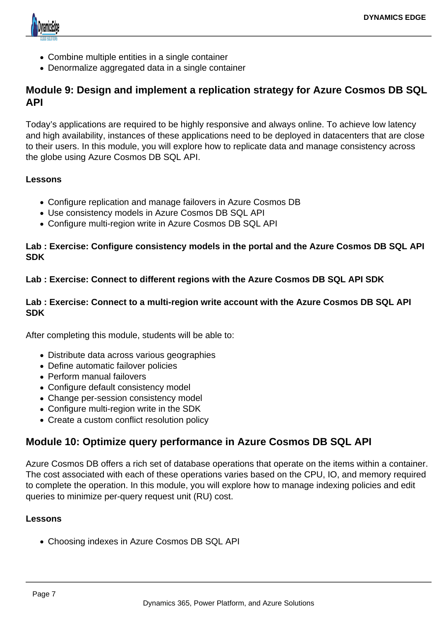

- Combine multiple entities in a single container
- Denormalize aggregated data in a single container

## **Module 9: Design and implement a replication strategy for Azure Cosmos DB SQL API**

Today's applications are required to be highly responsive and always online. To achieve low latency and high availability, instances of these applications need to be deployed in datacenters that are close to their users. In this module, you will explore how to replicate data and manage consistency across the globe using Azure Cosmos DB SQL API.

#### **Lessons**

- Configure replication and manage failovers in Azure Cosmos DB
- Use consistency models in Azure Cosmos DB SQL API
- Configure multi-region write in Azure Cosmos DB SQL API

#### **Lab : Exercise: Configure consistency models in the portal and the Azure Cosmos DB SQL API SDK**

#### **Lab : Exercise: Connect to different regions with the Azure Cosmos DB SQL API SDK**

#### **Lab : Exercise: Connect to a multi-region write account with the Azure Cosmos DB SQL API SDK**

After completing this module, students will be able to:

- Distribute data across various geographies
- Define automatic failover policies
- Perform manual failovers
- Configure default consistency model
- Change per-session consistency model
- Configure multi-region write in the SDK
- Create a custom conflict resolution policy

# **Module 10: Optimize query performance in Azure Cosmos DB SQL API**

Azure Cosmos DB offers a rich set of database operations that operate on the items within a container. The cost associated with each of these operations varies based on the CPU, IO, and memory required to complete the operation. In this module, you will explore how to manage indexing policies and edit queries to minimize per-query request unit (RU) cost.

#### **Lessons**

Choosing indexes in Azure Cosmos DB SQL API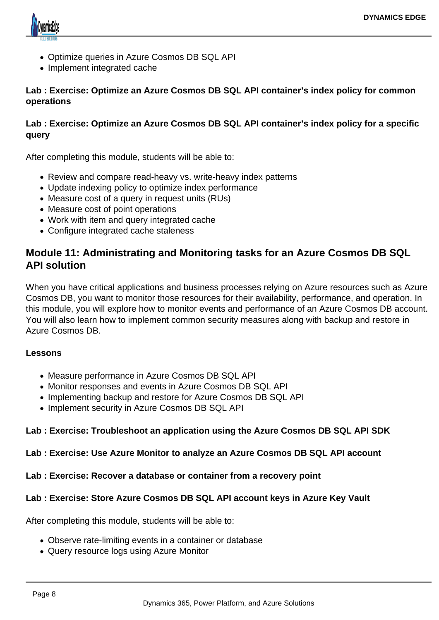

- Optimize queries in Azure Cosmos DB SQL API
- Implement integrated cache

**Lab : Exercise: Optimize an Azure Cosmos DB SQL API container's index policy for common operations**

#### **Lab : Exercise: Optimize an Azure Cosmos DB SQL API container's index policy for a specific query**

After completing this module, students will be able to:

- Review and compare read-heavy vs. write-heavy index patterns
- Update indexing policy to optimize index performance
- Measure cost of a query in request units (RUs)
- Measure cost of point operations
- Work with item and query integrated cache
- Configure integrated cache staleness

# **Module 11: Administrating and Monitoring tasks for an Azure Cosmos DB SQL API solution**

When you have critical applications and business processes relying on Azure resources such as Azure Cosmos DB, you want to monitor those resources for their availability, performance, and operation. In this module, you will explore how to monitor events and performance of an Azure Cosmos DB account. You will also learn how to implement common security measures along with backup and restore in Azure Cosmos DB.

#### **Lessons**

- Measure performance in Azure Cosmos DB SQL API
- Monitor responses and events in Azure Cosmos DB SQL API
- Implementing backup and restore for Azure Cosmos DB SQL API
- Implement security in Azure Cosmos DB SQL API

#### **Lab : Exercise: Troubleshoot an application using the Azure Cosmos DB SQL API SDK**

#### **Lab : Exercise: Use Azure Monitor to analyze an Azure Cosmos DB SQL API account**

#### **Lab : Exercise: Recover a database or container from a recovery point**

#### **Lab : Exercise: Store Azure Cosmos DB SQL API account keys in Azure Key Vault**

After completing this module, students will be able to:

- Observe rate-limiting events in a container or database
- Query resource logs using Azure Monitor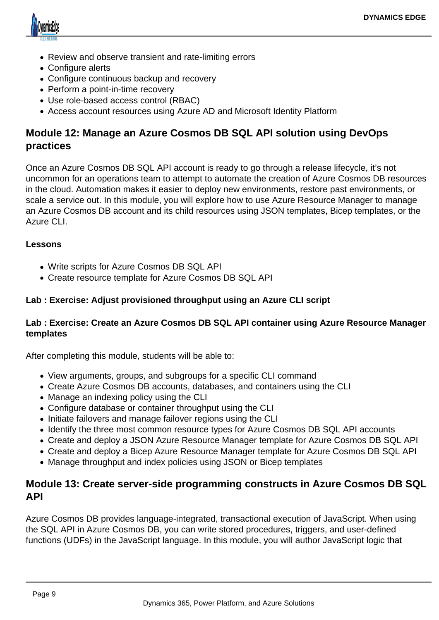

- Review and observe transient and rate-limiting errors
- Configure alerts
- Configure continuous backup and recovery
- Perform a point-in-time recovery
- Use role-based access control (RBAC)
- Access account resources using Azure AD and Microsoft Identity Platform

# **Module 12: Manage an Azure Cosmos DB SQL API solution using DevOps practices**

Once an Azure Cosmos DB SQL API account is ready to go through a release lifecycle, it's not uncommon for an operations team to attempt to automate the creation of Azure Cosmos DB resources in the cloud. Automation makes it easier to deploy new environments, restore past environments, or scale a service out. In this module, you will explore how to use Azure Resource Manager to manage an Azure Cosmos DB account and its child resources using JSON templates, Bicep templates, or the Azure CLI.

#### **Lessons**

- Write scripts for Azure Cosmos DB SQL API
- Create resource template for Azure Cosmos DB SQL API

#### **Lab : Exercise: Adjust provisioned throughput using an Azure CLI script**

#### **Lab : Exercise: Create an Azure Cosmos DB SQL API container using Azure Resource Manager templates**

After completing this module, students will be able to:

- View arguments, groups, and subgroups for a specific CLI command
- Create Azure Cosmos DB accounts, databases, and containers using the CLI
- Manage an indexing policy using the CLI
- Configure database or container throughput using the CLI
- Initiate failovers and manage failover regions using the CLI
- Identify the three most common resource types for Azure Cosmos DB SQL API accounts
- Create and deploy a JSON Azure Resource Manager template for Azure Cosmos DB SQL API
- Create and deploy a Bicep Azure Resource Manager template for Azure Cosmos DB SQL API
- Manage throughput and index policies using JSON or Bicep templates

## **Module 13: Create server-side programming constructs in Azure Cosmos DB SQL API**

Azure Cosmos DB provides language-integrated, transactional execution of JavaScript. When using the SQL API in Azure Cosmos DB, you can write stored procedures, triggers, and user-defined functions (UDFs) in the JavaScript language. In this module, you will author JavaScript logic that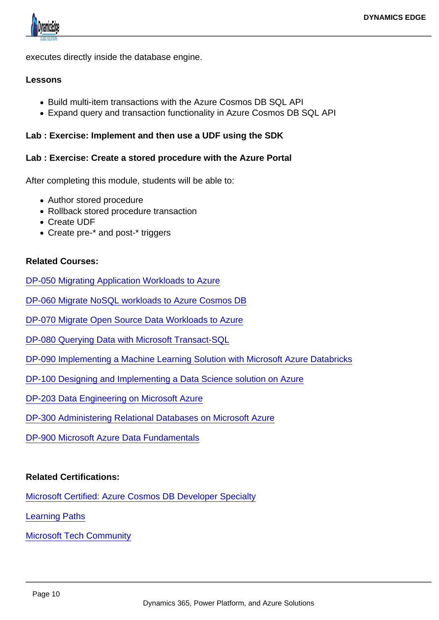executes directly inside the database engine.

#### Lessons

- Build multi-item transactions with the Azure Cosmos DB SQL API
- Expand query and transaction functionality in Azure Cosmos DB SQL API

Lab : Exercise: Implement and then use a UDF using the SDK

Lab : Exercise: Create a stored procedure with the Azure Portal

After completing this module, students will be able to:

- Author stored procedure
- Rollback stored procedure transaction
- Create UDF
- Create pre-\* and post-\* triggers

Related Courses:

[DP-050 Migrating Application Workloads to Azure](https://www.dynamicsedge.com/product/migrate-sql-workloads-to-azure-course-dp-050/)

[DP-060 Migrate NoSQL workloads to Azure Cosmos DB](https://www.dynamicsedge.com/product/migrate-nosql-workloads-to-azure-cosmos-db-dp-060/)

[DP-070 Migrate Open Source Data Workloads to Azure](https://www.dynamicsedge.com/product/dp-070-migrate-open-source-data-workloads-to-azure/)

[DP-080 Querying Data with Microsoft Transact-SQL](https://www.dynamicsedge.com/product/dp-080-querying-data-with-microsoft-transact-sql/)

- [DP-090 Implementing a Machine Learning Solution with Microsoft Azure Databricks](https://www.dynamicsedge.com/product/dp-090-implementing-a-machine-learning-solution-with-microsoft-azure-databricks-2/)
- [DP-100 Designing and Implementing a Data Science solution on Azure](https://www.dynamicsedge.com/product/data-science-solution-on-azure-dp-100/)

[DP-203 Data Engineering on Microsoft Azure](https://www.dynamicsedge.com/product/dp-203-data-engineering-on-microsoft-azure/)

[DP-300 Administering Relational Databases on Microsoft Azure](https://www.dynamicsedge.com/product/dp-300-administering-relational-databases-on-microsoft-azure/)

[DP-900 Microsoft Azure Data Fundamentals](https://www.dynamicsedge.com/product/microsoft-azure-database-and-cloud-concepts-data-science-database-administrator-database-developer-fundamentals-dp-900/)

Related Certifications:

[Microsoft Certified: Azure Cosmos DB Developer Specialty](https://docs.microsoft.com/en-us/learn/certifications/azure-cosmos-db-developer-specialty/)

[Learning Paths](https://docs.microsoft.com/en-us/learn/paths/get-started-azure-cosmos-db-sql-api/)

[Microsoft Tech Community](https://techcommunity.microsoft.com/t5/microsoft-learn-blog/coming-soon-the-new-azure-cosmos-db-developer-specialty/ba-p/2834982)